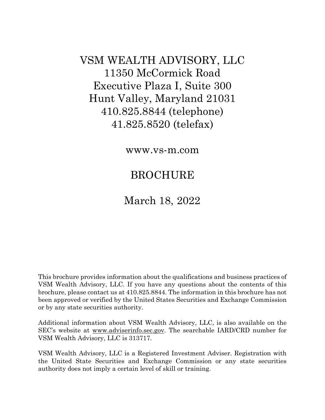VSM WEALTH ADVISORY, LLC 11350 McCormick Road Executive Plaza I, Suite 300 Hunt Valley, Maryland 21031 410.825.8844 (telephone) 41.825.8520 (telefax)

www.vs-m.com

# BROCHURE

## March 18, 2022

This brochure provides information about the qualifications and business practices of VSM Wealth Advisory, LLC. If you have any questions about the contents of this brochure, please contact us at 410.825.8844. The information in this brochure has not been approved or verified by the United States Securities and Exchange Commission or by any state securities authority.

Additional information about VSM Wealth Advisory, LLC, is also available on the SEC's website at www.adviserinfo.sec.gov. The searchable IARD/CRD number for VSM Wealth Advisory, LLC is 313717.

VSM Wealth Advisory, LLC is a Registered Investment Adviser. Registration with the United State Securities and Exchange Commission or any state securities authority does not imply a certain level of skill or training.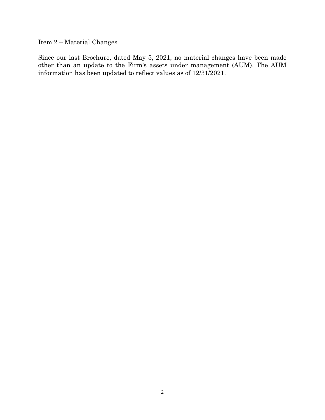Item 2 – Material Changes

Since our last Brochure, dated May 5, 2021, no material changes have been made other than an update to the Firm's assets under management (AUM). The AUM information has been updated to reflect values as of 12/31/2021.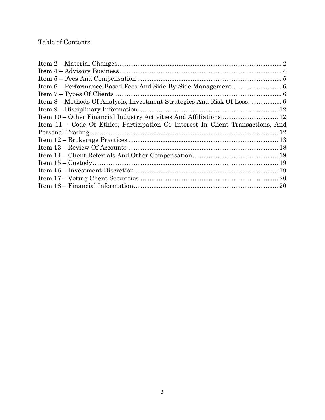## Table of Contents

| Item 11 – Code Of Ethics, Participation Or Interest In Client Transactions, And |  |
|---------------------------------------------------------------------------------|--|
|                                                                                 |  |
|                                                                                 |  |
|                                                                                 |  |
|                                                                                 |  |
|                                                                                 |  |
|                                                                                 |  |
|                                                                                 |  |
|                                                                                 |  |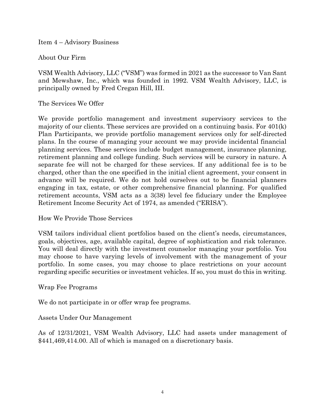Item 4 – Advisory Business

About Our Firm

VSM Wealth Advisory, LLC ("VSM") was formed in 2021 as the successor to Van Sant and Mewshaw, Inc., which was founded in 1992. VSM Wealth Advisory, LLC, is principally owned by Fred Cregan Hill, III.

The Services We Offer

We provide portfolio management and investment supervisory services to the majority of our clients. These services are provided on a continuing basis. For 401(k) Plan Participants, we provide portfolio management services only for self-directed plans. In the course of managing your account we may provide incidental financial planning services. These services include budget management, insurance planning, retirement planning and college funding. Such services will be cursory in nature. A separate fee will not be charged for these services. If any additional fee is to be charged, other than the one specified in the initial client agreement, your consent in advance will be required. We do not hold ourselves out to be financial planners engaging in tax, estate, or other comprehensive financial planning. For qualified retirement accounts, VSM acts as a 3(38) level fee fiduciary under the Employee Retirement Income Security Act of 1974, as amended ("ERISA").

How We Provide Those Services

VSM tailors individual client portfolios based on the client's needs, circumstances, goals, objectives, age, available capital, degree of sophistication and risk tolerance. You will deal directly with the investment counselor managing your portfolio. You may choose to have varying levels of involvement with the management of your portfolio. In some cases, you may choose to place restrictions on your account regarding specific securities or investment vehicles. If so, you must do this in writing.

Wrap Fee Programs

We do not participate in or offer wrap fee programs.

Assets Under Our Management

As of 12/31/2021, VSM Wealth Advisory, LLC had assets under management of \$441,469,414.00. All of which is managed on a discretionary basis.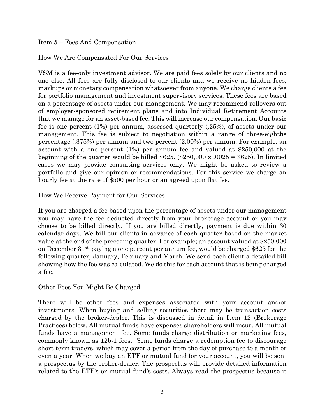Item 5 – Fees And Compensation

#### How We Are Compensated For Our Services

VSM is a fee-only investment advisor. We are paid fees solely by our clients and no one else. All fees are fully disclosed to our clients and we receive no hidden fees, markups or monetary compensation whatsoever from anyone. We charge clients a fee for portfolio management and investment supervisory services. These fees are based on a percentage of assets under our management. We may recommend rollovers out of employer-sponsored retirement plans and into Individual Retirement Accounts that we manage for an asset-based fee. This will increase our compensation. Our basic fee is one percent (1%) per annum, assessed quarterly (.25%), of assets under our management. This fee is subject to negotiation within a range of three-eighths percentage (.375%) per annum and two percent (2.00%) per annum. For example, an account with a one percent (1%) per annum fee and valued at \$250,000 at the beginning of the quarter would be billed \$625.  $(\$250,000 \times .0025 = \$625)$ . In limited cases we may provide consulting services only. We might be asked to review a portfolio and give our opinion or recommendations. For this service we charge an hourly fee at the rate of \$500 per hour or an agreed upon flat fee.

How We Receive Payment for Our Services

If you are charged a fee based upon the percentage of assets under our management you may have the fee deducted directly from your brokerage account or you may choose to be billed directly. If you are billed directly, payment is due within 30 calendar days. We bill our clients in advance of each quarter based on the market value at the end of the preceding quarter. For example; an account valued at \$250,000 on December  $31^{st}$ , paying a one percent per annum fee, would be charged \$625 for the following quarter, January, February and March. We send each client a detailed bill showing how the fee was calculated. We do this for each account that is being charged a fee.

Other Fees You Might Be Charged

There will be other fees and expenses associated with your account and/or investments. When buying and selling securities there may be transaction costs charged by the broker-dealer. This is discussed in detail in Item 12 (Brokerage Practices) below*.* All mutual funds have expenses shareholders will incur. All mutual funds have a management fee. Some funds charge distribution or marketing fees, commonly known as 12b-1 fees. Some funds charge a redemption fee to discourage short-term traders, which may cover a period from the day of purchase to a month or even a year. When we buy an ETF or mutual fund for your account, you will be sent a prospectus by the broker-dealer. The prospectus will provide detailed information related to the ETF's or mutual fund's costs. Always read the prospectus because it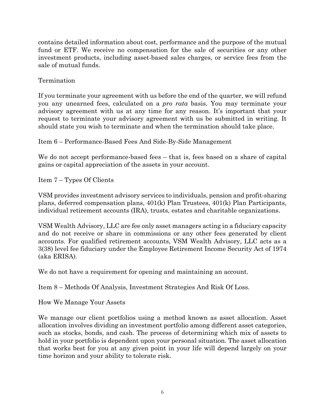contains detailed information about cost, performance and the purpose of the mutual fund or ETF. We receive no compensation for the sale of securities or any other investment products, including asset-based sales charges, or service fees from the sale of mutual funds.

Termination

If you terminate your agreement with us before the end of the quarter, we will refund you any unearned fees, calculated on a *pro rata* basis. You may terminate your advisory agreement with us at any time for any reason. It's important that your request to terminate your advisory agreement with us be submitted in writing. It should state you wish to terminate and when the termination should take place.

Item 6 – Performance-Based Fees And Side-By-Side Management

We do not accept performance-based fees – that is, fees based on a share of capital gains or capital appreciation of the assets in your account.

Item 7 – Types Of Clients

VSM provides investment advisory services to individuals, pension and profit-sharing plans, deferred compensation plans, 401(k) Plan Trustees, 401(k) Plan Participants, individual retirement accounts (IRA), trusts, estates and charitable organizations.

VSM Wealth Advisory, LLC are fee only asset managers acting in a fiduciary capacity and do not receive or share in commissions or any other fees generated by client accounts. For qualified retirement accounts, VSM Wealth Advisory, LLC acts as a 3(38) level fee fiduciary under the Employee Retirement Income Security Act of 1974 (aka ERISA).

We do not have a requirement for opening and maintaining an account.

Item 8 – Methods Of Analysis, Investment Strategies And Risk Of Loss.

How We Manage Your Assets

We manage our client portfolios using a method known as asset allocation. Asset allocation involves dividing an investment portfolio among different asset categories, such as stocks, bonds, and cash. The process of determining which mix of assets to hold in your portfolio is dependent upon your personal situation. The asset allocation that works best for you at any given point in your life will depend largely on your time horizon and your ability to tolerate risk.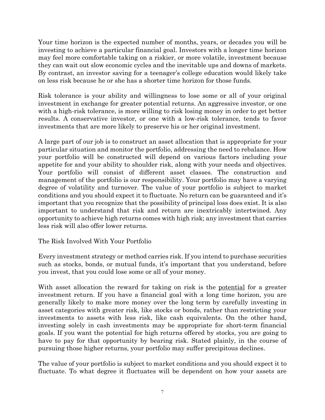Your time horizon is the expected number of months, years, or decades you will be investing to achieve a particular financial goal. Investors with a longer time horizon may feel more comfortable taking on a riskier, or more volatile, investment because they can wait out slow economic cycles and the inevitable ups and downs of markets. By contrast, an investor saving for a teenager's college education would likely take on less risk because he or she has a shorter time horizon for those funds.

Risk tolerance is your ability and willingness to lose some or all of your original investment in exchange for greater potential returns. An aggressive investor, or one with a high-risk tolerance, is more willing to risk losing money in order to get better results. A conservative investor, or one with a low-risk tolerance, tends to favor investments that are more likely to preserve his or her original investment.

A large part of our job is to construct an asset allocation that is appropriate for your particular situation and monitor the portfolio, addressing the need to rebalance. How your portfolio will be constructed will depend on various factors including your appetite for and your ability to shoulder risk, along with your needs and objectives. Your portfolio will consist of different asset classes. The construction and management of the portfolio is our responsibility. Your portfolio may have a varying degree of volatility and turnover. The value of your portfolio is subject to market conditions and you should expect it to fluctuate. No return can be guaranteed and it's important that you recognize that the possibility of principal loss does exist. It is also important to understand that risk and return are inextricably intertwined. Any opportunity to achieve high returns comes with high risk; any investment that carries less risk will also offer lower returns.

The Risk Involved With Your Portfolio

Every investment strategy or method carries risk. If you intend to purchase securities such as stocks, bonds, or mutual funds, it's important that you understand, before you invest, that you could lose some or all of your money.

With asset allocation the reward for taking on risk is the potential for a greater investment return. If you have a financial goal with a long time horizon, you are generally likely to make more money over the long term by carefully investing in asset categories with greater risk, like stocks or bonds, rather than restricting your investments to assets with less risk, like cash equivalents. On the other hand, investing solely in cash investments may be appropriate for short-term financial goals. If you want the potential for high returns offered by stocks, you are going to have to pay for that opportunity by bearing risk. Stated plainly, in the course of pursuing those higher returns, your portfolio may suffer precipitous declines.

The value of your portfolio is subject to market conditions and you should expect it to fluctuate. To what degree it fluctuates will be dependent on how your assets are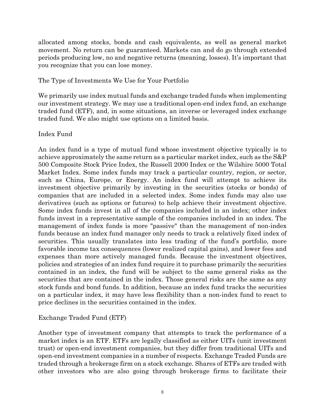allocated among stocks, bonds and cash equivalents, as well as general market movement. No return can be guaranteed. Markets can and do go through extended periods producing low, no and negative returns (meaning, losses). It's important that you recognize that you can lose money.

#### The Type of Investments We Use for Your Portfolio

We primarily use index mutual funds and exchange traded funds when implementing our investment strategy. We may use a traditional open-end index fund, an exchange traded fund (ETF), and, in some situations, an inverse or leveraged index exchange traded fund. We also might use options on a limited basis.

#### Index Fund

An index fund is a type of mutual fund whose investment objective typically is to achieve approximately the same return as a particular market index, such as the S&P 500 Composite Stock Price Index, the Russell 2000 Index or the Wilshire 5000 Total Market Index. Some index funds may track a particular country, region, or sector, such as China, Europe, or Energy. An index fund will attempt to achieve its investment objective primarily by investing in the securities (stocks or bonds) of companies that are included in a selected index. Some index funds may also use derivatives (such as options or futures) to help achieve their investment objective. Some index funds invest in all of the companies included in an index; other index funds invest in a representative sample of the companies included in an index. The management of index funds is more "passive" than the management of non-index funds because an index fund manager only needs to track a relatively fixed index of securities. This usually translates into less trading of the fund's portfolio, more favorable income tax consequences (lower realized capital gains), and lower fees and expenses than more actively managed funds. Because the investment objectives, policies and strategies of an index fund require it to purchase primarily the securities contained in an index, the fund will be subject to the same general risks as the securities that are contained in the index. Those general risks are the same as any stock funds and bond funds. In addition, because an index fund tracks the securities on a particular index, it may have less flexibility than a non-index fund to react to price declines in the securities contained in the index.

## Exchange Traded Fund (ETF)

Another type of investment company that attempts to track the performance of a market index is an ETF. ETFs are legally classified as either UITs (unit investment trust) or open-end investment companies, but they differ from traditional UITs and open-end investment companies in a number of respects. Exchange Traded Funds are traded through a brokerage firm on a stock exchange. Shares of ETFs are traded with other investors who are also going through brokerage firms to facilitate their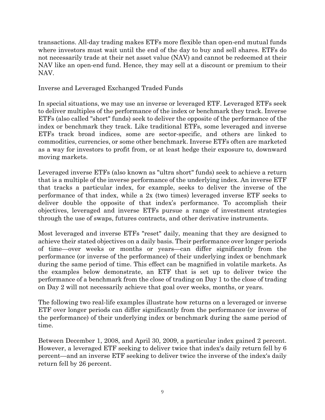transactions. All-day trading makes ETFs more flexible than open-end mutual funds where investors must wait until the end of the day to buy and sell shares. ETFs do not necessarily trade at their net asset value (NAV) and cannot be redeemed at their NAV like an open-end fund. Hence, they may sell at a discount or premium to their NAV.

Inverse and Leveraged Exchanged Traded Funds

In special situations, we may use an inverse or leveraged ETF. Leveraged ETFs seek to deliver multiples of the performance of the index or benchmark they track. Inverse ETFs (also called "short" funds) seek to deliver the opposite of the performance of the index or benchmark they track. Like traditional ETFs, some leveraged and inverse ETFs track broad indices, some are sector-specific, and others are linked to commodities, currencies, or some other benchmark. Inverse ETFs often are marketed as a way for investors to profit from, or at least hedge their exposure to, downward moving markets.

Leveraged inverse ETFs (also known as "ultra short" funds) seek to achieve a return that is a multiple of the inverse performance of the underlying index. An inverse ETF that tracks a particular index, for example, seeks to deliver the inverse of the performance of that index, while a 2x (two times) leveraged inverse ETF seeks to deliver double the opposite of that index's performance. To accomplish their objectives, leveraged and inverse ETFs pursue a range of investment strategies through the use of swaps, futures contracts, and other derivative instruments.

Most leveraged and inverse ETFs "reset" daily, meaning that they are designed to achieve their stated objectives on a daily basis. Their performance over longer periods of time—over weeks or months or years—can differ significantly from the performance (or inverse of the performance) of their underlying index or benchmark during the same period of time. This effect can be magnified in volatile markets. As the examples below demonstrate, an ETF that is set up to deliver twice the performance of a benchmark from the close of trading on Day 1 to the close of trading on Day 2 will not necessarily achieve that goal over weeks, months, or years.

The following two real-life examples illustrate how returns on a leveraged or inverse ETF over longer periods can differ significantly from the performance (or inverse of the performance) of their underlying index or benchmark during the same period of time.

Between December 1, 2008, and April 30, 2009, a particular index gained 2 percent. However, a leveraged ETF seeking to deliver twice that index's daily return fell by 6 percent—and an inverse ETF seeking to deliver twice the inverse of the index's daily return fell by 26 percent.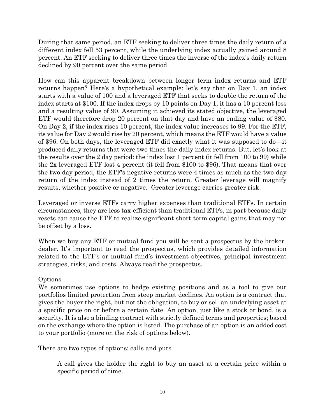During that same period, an ETF seeking to deliver three times the daily return of a different index fell 53 percent, while the underlying index actually gained around 8 percent. An ETF seeking to deliver three times the inverse of the index's daily return declined by 90 percent over the same period.

How can this apparent breakdown between longer term index returns and ETF returns happen? Here's a hypothetical example: let's say that on Day 1, an index starts with a value of 100 and a leveraged ETF that seeks to double the return of the index starts at \$100. If the index drops by 10 points on Day 1, it has a 10 percent loss and a resulting value of 90. Assuming it achieved its stated objective, the leveraged ETF would therefore drop 20 percent on that day and have an ending value of \$80. On Day 2, if the index rises 10 percent, the index value increases to 99. For the ETF, its value for Day 2 would rise by 20 percent, which means the ETF would have a value of \$96. On both days, the leveraged ETF did exactly what it was supposed to do—it produced daily returns that were two times the daily index returns. But, let's look at the results over the 2 day period: the index lost 1 percent (it fell from 100 to 99) while the 2x leveraged ETF lost 4 percent (it fell from \$100 to \$96). That means that over the two day period, the ETF's negative returns were 4 times as much as the two-day return of the index instead of 2 times the return. Greater leverage will magnify results, whether positive or negative. Greater leverage carries greater risk.

Leveraged or inverse ETFs carry higher expenses than traditional ETFs. In certain circumstances, they are less tax-efficient than traditional ETFs, in part because daily resets can cause the ETF to realize significant short-term capital gains that may not be offset by a loss.

When we buy any ETF or mutual fund you will be sent a prospectus by the brokerdealer. It's important to read the prospectus, which provides detailed information related to the ETF's or mutual fund's investment objectives, principal investment strategies, risks, and costs. Always read the prospectus.

## **Options**

We sometimes use options to hedge existing positions and as a tool to give our portfolios limited protection from steep market declines. An option is a contract that gives the buyer the right, but not the obligation, to buy or sell an underlying asset at a specific price on or before a certain date. An option, just like a stock or bond, is a security. It is also a binding contract with strictly defined terms and properties; based on the exchange where the option is listed. The purchase of an option is an added cost to your portfolio (more on the risk of options below).

There are two types of options: calls and puts.

A call gives the holder the right to buy an asset at a certain price within a specific period of time.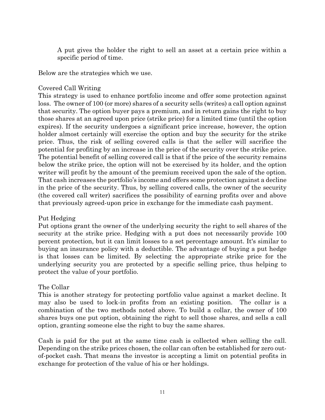A put gives the holder the right to sell an asset at a certain price within a specific period of time.

Below are the strategies which we use.

#### Covered Call Writing

This strategy is used to enhance portfolio income and offer some protection against loss. The owner of 100 (or more) shares of a security sells (writes) a call option against that security. The option buyer pays a premium, and in return gains the right to buy those shares at an agreed upon price (strike price) for a limited time (until the option expires). If the security undergoes a significant price increase, however, the option holder almost certainly will exercise the option and buy the security for the strike price. Thus, the risk of selling covered calls is that the seller will sacrifice the potential for profiting by an increase in the price of the security over the strike price. The potential benefit of selling covered call is that if the price of the security remains below the strike price, the option will not be exercised by its holder, and the option writer will profit by the amount of the premium received upon the sale of the option. That cash increases the portfolio's income and offers some protection against a decline in the price of the security. Thus, by selling covered calls, the owner of the security (the covered call writer) sacrifices the possibility of earning profits over and above that previously agreed-upon price in exchange for the immediate cash payment.

#### Put Hedging

Put options grant the owner of the underlying security the right to sell shares of the security at the strike price. Hedging with a put does not necessarily provide 100 percent protection, but it can limit losses to a set percentage amount. It's similar to buying an insurance policy with a deductible. The advantage of buying a put hedge is that losses can be limited. By selecting the appropriate strike price for the underlying security you are protected by a specific selling price, thus helping to protect the value of your portfolio.

#### The Collar

This is another strategy for protecting portfolio value against a market decline. It may also be used to lock-in profits from an existing position. The collar is a combination of the two methods noted above. To build a collar, the owner of 100 shares buys one put option, obtaining the right to sell those shares, and sells a call option, granting someone else the right to buy the same shares.

Cash is paid for the put at the same time cash is collected when selling the call. Depending on the strike prices chosen, the collar can often be established for zero outof-pocket cash. That means the investor is accepting a limit on potential profits in exchange for protection of the value of his or her holdings.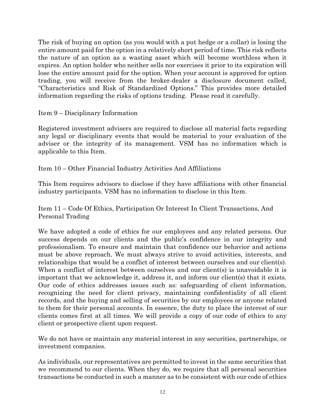The risk of buying an option (as you would with a put hedge or a collar) is losing the entire amount paid for the option in a relatively short period of time. This risk reflects the nature of an option as a wasting asset which will become worthless when it expires. An option holder who neither sells nor exercises it prior to its expiration will lose the entire amount paid for the option. When your account is approved for option trading, you will receive from the broker-dealer a disclosure document called, "Characteristics and Risk of Standardized Options." This provides more detailed information regarding the risks of options trading. Please read it carefully.

Item 9 – Disciplinary Information

Registered investment advisers are required to disclose all material facts regarding any legal or disciplinary events that would be material to your evaluation of the adviser or the integrity of its management. VSM has no information which is applicable to this Item.

Item 10 – Other Financial Industry Activities And Affiliations

This Item requires advisors to disclose if they have affiliations with other financial industry participants. VSM has no information to disclose in this Item.

Item 11 – Code Of Ethics, Participation Or Interest In Client Transactions, And Personal Trading

We have adopted a code of ethics for our employees and any related persons. Our success depends on our clients and the public's confidence in our integrity and professionalism. To ensure and maintain that confidence our behavior and actions must be above reproach. We must always strive to avoid activities, interests, and relationships that would be a conflict of interest between ourselves and our client(s). When a conflict of interest between ourselves and our client(s) is unavoidable it is important that we acknowledge it, address it, and inform our client(s) that it exists. Our code of ethics addresses issues such as: safeguarding of client information, recognizing the need for client privacy, maintaining confidentiality of all client records, and the buying and selling of securities by our employees or anyone related to them for their personal accounts. In essence, the duty to place the interest of our clients comes first at all times. We will provide a copy of our code of ethics to any client or prospective client upon request.

We do not have or maintain any material interest in any securities, partnerships, or investment companies.

As individuals, our representatives are permitted to invest in the same securities that we recommend to our clients. When they do, we require that all personal securities transactions be conducted in such a manner as to be consistent with our code of ethics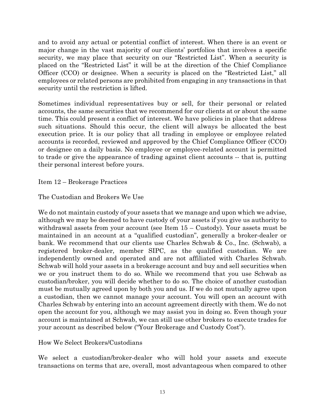and to avoid any actual or potential conflict of interest. When there is an event or major change in the vast majority of our clients' portfolios that involves a specific security, we may place that security on our "Restricted List". When a security is placed on the "Restricted List" it will be at the direction of the Chief Compliance Officer (CCO) or designee. When a security is placed on the "Restricted List," all employees or related persons are prohibited from engaging in any transactions in that security until the restriction is lifted.

Sometimes individual representatives buy or sell, for their personal or related accounts, the same securities that we recommend for our clients at or about the same time. This could present a conflict of interest. We have policies in place that address such situations. Should this occur, the client will always be allocated the best execution price. It is our policy that all trading in employee or employee related accounts is recorded, reviewed and approved by the Chief Compliance Officer (CCO) or designee on a daily basis. No employee or employee-related account is permitted to trade or give the appearance of trading against client accounts -- that is, putting their personal interest before yours.

Item 12 – Brokerage Practices

The Custodian and Brokers We Use

We do not maintain custody of your assets that we manage and upon which we advise, although we may be deemed to have custody of your assets if you give us authority to withdrawal assets from your account (see Item  $15 -$ Custody). Your assets must be maintained in an account at a "qualified custodian", generally a broker-dealer or bank. We recommend that our clients use Charles Schwab & Co., Inc. (Schwab), a registered broker-dealer, member SIPC, as the qualified custodian. We are independently owned and operated and are not affiliated with Charles Schwab. Schwab will hold your assets in a brokerage account and buy and sell securities when we or you instruct them to do so. While we recommend that you use Schwab as custodian/broker, you will decide whether to do so. The choice of another custodian must be mutually agreed upon by both you and us. If we do not mutually agree upon a custodian, then we cannot manage your account. You will open an account with Charles Schwab by entering into an account agreement directly with them. We do not open the account for you, although we may assist you in doing so. Even though your account is maintained at Schwab, we can still use other brokers to execute trades for your account as described below ("Your Brokerage and Custody Cost").

How We Select Brokers/Custodians

We select a custodian/broker-dealer who will hold your assets and execute transactions on terms that are, overall, most advantageous when compared to other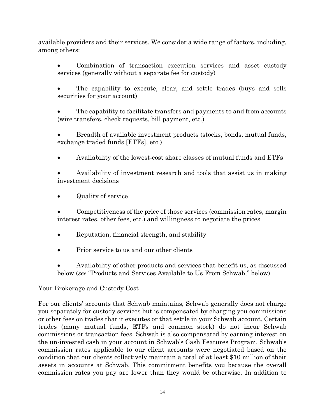available providers and their services. We consider a wide range of factors, including, among others:

 Combination of transaction execution services and asset custody services (generally without a separate fee for custody)

 The capability to execute, clear, and settle trades (buys and sells securities for your account)

 The capability to facilitate transfers and payments to and from accounts (wire transfers, check requests, bill payment, etc.)

 Breadth of available investment products (stocks, bonds, mutual funds, exchange traded funds [ETFs], etc.)

Availability of the lowest-cost share classes of mutual funds and ETFs

 Availability of investment research and tools that assist us in making investment decisions

Quality of service

 Competitiveness of the price of those services (commission rates, margin interest rates, other fees, etc.) and willingness to negotiate the prices

- Reputation, financial strength, and stability
- Prior service to us and our other clients
- Availability of other products and services that benefit us, as discussed below (*see* "Products and Services Available to Us From Schwab," below)

## Your Brokerage and Custody Cost

For our clients' accounts that Schwab maintains, Schwab generally does not charge you separately for custody services but is compensated by charging you commissions or other fees on trades that it executes or that settle in your Schwab account. Certain trades (many mutual funds, ETFs and common stock) do not incur Schwab commissions or transaction fees. Schwab is also compensated by earning interest on the un-invested cash in your account in Schwab's Cash Features Program. Schwab's commission rates applicable to our client accounts were negotiated based on the condition that our clients collectively maintain a total of at least \$10 million of their assets in accounts at Schwab. This commitment benefits you because the overall commission rates you pay are lower than they would be otherwise. In addition to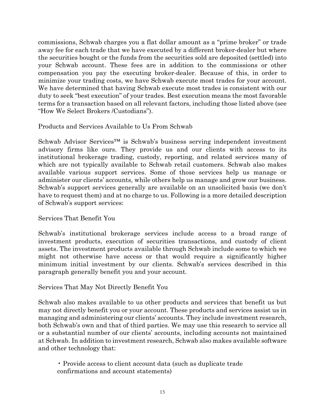commissions, Schwab charges you a flat dollar amount as a "prime broker" or trade away fee for each trade that we have executed by a different broker-dealer but where the securities bought or the funds from the securities sold are deposited (settled) into your Schwab account. These fees are in addition to the commissions or other compensation you pay the executing broker-dealer. Because of this, in order to minimize your trading costs, we have Schwab execute most trades for your account. We have determined that having Schwab execute most trades is consistent with our duty to seek "best execution" of your trades. Best execution means the most favorable terms for a transaction based on all relevant factors, including those listed above (see "How We Select Brokers /Custodians").

Products and Services Available to Us From Schwab

Schwab Advisor Services™ is Schwab's business serving independent investment advisory firms like ours. They provide us and our clients with access to its institutional brokerage trading, custody, reporting, and related services many of which are not typically available to Schwab retail customers. Schwab also makes available various support services. Some of those services help us manage or administer our clients' accounts, while others help us manage and grow our business. Schwab's support services generally are available on an unsolicited basis (we don't have to request them) and at no charge to us. Following is a more detailed description of Schwab's support services:

Services That Benefit You

Schwab's institutional brokerage services include access to a broad range of investment products, execution of securities transactions, and custody of client assets. The investment products available through Schwab include some to which we might not otherwise have access or that would require a significantly higher minimum initial investment by our clients. Schwab's services described in this paragraph generally benefit you and your account.

Services That May Not Directly Benefit You

Schwab also makes available to us other products and services that benefit us but may not directly benefit you or your account. These products and services assist us in managing and administering our clients' accounts. They include investment research, both Schwab's own and that of third parties. We may use this research to service all or a substantial number of our clients' accounts, including accounts not maintained at Schwab. In addition to investment research, Schwab also makes available software and other technology that:

• Provide access to client account data (such as duplicate trade confirmations and account statements)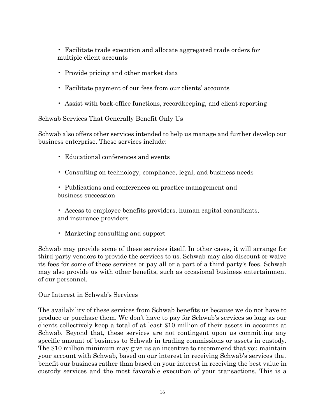• Facilitate trade execution and allocate aggregated trade orders for multiple client accounts

- Provide pricing and other market data
- Facilitate payment of our fees from our clients' accounts
- Assist with back-office functions, recordkeeping, and client reporting

Schwab Services That Generally Benefit Only Us

Schwab also offers other services intended to help us manage and further develop our business enterprise. These services include:

- Educational conferences and events
- Consulting on technology, compliance, legal, and business needs

• Publications and conferences on practice management and business succession

- Access to employee benefits providers, human capital consultants, and insurance providers
- Marketing consulting and support

Schwab may provide some of these services itself. In other cases, it will arrange for third-party vendors to provide the services to us. Schwab may also discount or waive its fees for some of these services or pay all or a part of a third party's fees. Schwab may also provide us with other benefits, such as occasional business entertainment of our personnel.

Our Interest in Schwab's Services

The availability of these services from Schwab benefits us because we do not have to produce or purchase them. We don't have to pay for Schwab's services so long as our clients collectively keep a total of at least \$10 million of their assets in accounts at Schwab. Beyond that, these services are not contingent upon us committing any specific amount of business to Schwab in trading commissions or assets in custody. The \$10 million minimum may give us an incentive to recommend that you maintain your account with Schwab, based on our interest in receiving Schwab's services that benefit our business rather than based on your interest in receiving the best value in custody services and the most favorable execution of your transactions. This is a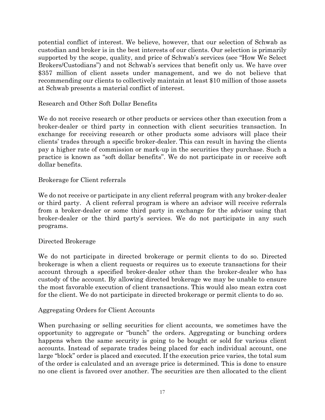potential conflict of interest. We believe, however, that our selection of Schwab as custodian and broker is in the best interests of our clients. Our selection is primarily supported by the scope, quality, and price of Schwab's services (see "How We Select Brokers/Custodians") and not Schwab's services that benefit only us. We have over \$357 million of client assets under management, and we do not believe that recommending our clients to collectively maintain at least \$10 million of those assets at Schwab presents a material conflict of interest.

#### Research and Other Soft Dollar Benefits

We do not receive research or other products or services other than execution from a broker-dealer or third party in connection with client securities transaction. In exchange for receiving research or other products some advisors will place their clients' trades through a specific broker-dealer. This can result in having the clients pay a higher rate of commission or mark-up in the securities they purchase. Such a practice is known as "soft dollar benefits". We do not participate in or receive soft dollar benefits.

#### Brokerage for Client referrals

We do not receive or participate in any client referral program with any broker-dealer or third party. A client referral program is where an advisor will receive referrals from a broker-dealer or some third party in exchange for the advisor using that broker-dealer or the third party's services. We do not participate in any such programs.

#### Directed Brokerage

We do not participate in directed brokerage or permit clients to do so. Directed brokerage is when a client requests or requires us to execute transactions for their account through a specified broker-dealer other than the broker-dealer who has custody of the account. By allowing directed brokerage we may be unable to ensure the most favorable execution of client transactions. This would also mean extra cost for the client. We do not participate in directed brokerage or permit clients to do so.

#### Aggregating Orders for Client Accounts

When purchasing or selling securities for client accounts, we sometimes have the opportunity to aggregate or "bunch" the orders. Aggregating or bunching orders happens when the same security is going to be bought or sold for various client accounts. Instead of separate trades being placed for each individual account, one large "block" order is placed and executed. If the execution price varies, the total sum of the order is calculated and an average price is determined. This is done to ensure no one client is favored over another. The securities are then allocated to the client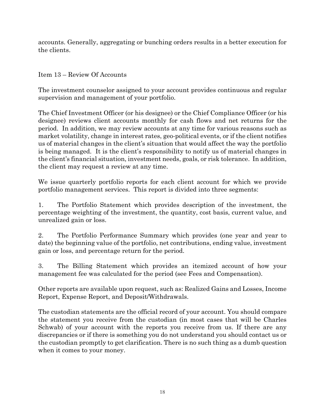accounts. Generally, aggregating or bunching orders results in a better execution for the clients.

Item 13 – Review Of Accounts

The investment counselor assigned to your account provides continuous and regular supervision and management of your portfolio.

The Chief Investment Officer (or his designee) or the Chief Compliance Officer (or his designee) reviews client accounts monthly for cash flows and net returns for the period. In addition, we may review accounts at any time for various reasons such as market volatility, change in interest rates, geo-political events, or if the client notifies us of material changes in the client's situation that would affect the way the portfolio is being managed. It is the client's responsibility to notify us of material changes in the client's financial situation, investment needs, goals, or risk tolerance. In addition, the client may request a review at any time.

We issue quarterly portfolio reports for each client account for which we provide portfolio management services. This report is divided into three segments:

1. The Portfolio Statement which provides description of the investment, the percentage weighting of the investment, the quantity, cost basis, current value, and unrealized gain or loss.

2. The Portfolio Performance Summary which provides (one year and year to date) the beginning value of the portfolio, net contributions, ending value, investment gain or loss, and percentage return for the period.

3. The Billing Statement which provides an itemized account of how your management fee was calculated for the period (see Fees and Compensation).

Other reports are available upon request, such as: Realized Gains and Losses, Income Report, Expense Report, and Deposit/Withdrawals.

The custodian statements are the official record of your account. You should compare the statement you receive from the custodian (in most cases that will be Charles Schwab) of your account with the reports you receive from us. If there are any discrepancies or if there is something you do not understand you should contact us or the custodian promptly to get clarification. There is no such thing as a dumb question when it comes to your money.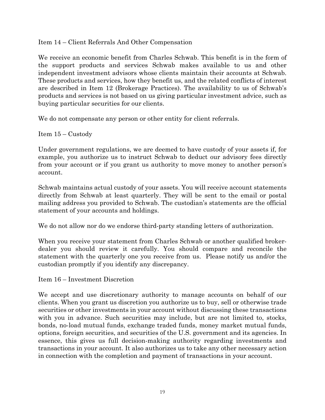Item 14 – Client Referrals And Other Compensation

We receive an economic benefit from Charles Schwab. This benefit is in the form of the support products and services Schwab makes available to us and other independent investment advisors whose clients maintain their accounts at Schwab. These products and services, how they benefit us, and the related conflicts of interest are described in Item 12 (Brokerage Practices). The availability to us of Schwab's products and services is not based on us giving particular investment advice, such as buying particular securities for our clients.

We do not compensate any person or other entity for client referrals.

Item 15 – Custody

Under government regulations, we are deemed to have custody of your assets if, for example, you authorize us to instruct Schwab to deduct our advisory fees directly from your account or if you grant us authority to move money to another person's account.

Schwab maintains actual custody of your assets. You will receive account statements directly from Schwab at least quarterly. They will be sent to the email or postal mailing address you provided to Schwab. The custodian's statements are the official statement of your accounts and holdings.

We do not allow nor do we endorse third-party standing letters of authorization.

When you receive your statement from Charles Schwab or another qualified brokerdealer you should review it carefully. You should compare and reconcile the statement with the quarterly one you receive from us. Please notify us and/or the custodian promptly if you identify any discrepancy.

Item 16 – Investment Discretion

We accept and use discretionary authority to manage accounts on behalf of our clients. When you grant us discretion you authorize us to buy, sell or otherwise trade securities or other investments in your account without discussing these transactions with you in advance. Such securities may include, but are not limited to, stocks, bonds, no-load mutual funds, exchange traded funds, money market mutual funds, options, foreign securities, and securities of the U.S. government and its agencies. In essence, this gives us full decision-making authority regarding investments and transactions in your account. It also authorizes us to take any other necessary action in connection with the completion and payment of transactions in your account.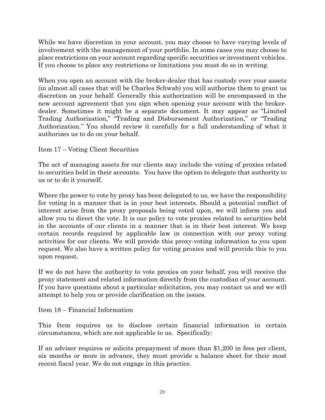While we have discretion in your account, you may choose to have varying levels of involvement with the management of your portfolio. In some cases you may choose to place restrictions on your account regarding specific securities or investment vehicles. If you choose to place any restrictions or limitations you must do so in writing.

When you open an account with the broker-dealer that has custody over your assets (in almost all cases that will be Charles Schwab) you will authorize them to grant us discretion on your behalf. Generally this authorization will be encompassed in the new account agreement that you sign when opening your account with the brokerdealer. Sometimes it might be a separate document. It may appear as "Limited Trading Authorization," "Trading and Disbursement Authorization," or "Trading Authorization." You should review it carefully for a full understanding of what it authorizes us to do on your behalf.

Item 17 – Voting Client Securities

The act of managing assets for our clients may include the voting of proxies related to securities held in their accounts. You have the option to delegate that authority to us or to do it yourself.

Where the power to vote by proxy has been delegated to us, we have the responsibility for voting in a manner that is in your best interests. Should a potential conflict of interest arise from the proxy proposals being voted upon, we will inform you and allow you to direct the vote. It is our policy to vote proxies related to securities held in the accounts of our clients in a manner that is in their best interest. We keep certain records required by applicable law in connection with our proxy voting activities for our clients. We will provide this proxy-voting information to you upon request. We also have a written policy for voting proxies and will provide this to you upon request.

If we do not have the authority to vote proxies on your behalf, you will receive the proxy statement and related information directly from the custodian of your account. If you have questions about a particular solicitation, you may contact us and we will attempt to help you or provide clarification on the issues.

Item 18 – Financial Information

This Item requires us to disclose certain financial information in certain circumstances, which are not applicable to us. Specifically:

If an adviser requires or solicits prepayment of more than \$1,200 in fees per client, six months or more in advance, they must provide a balance sheet for their most recent fiscal year. We do not engage in this practice.